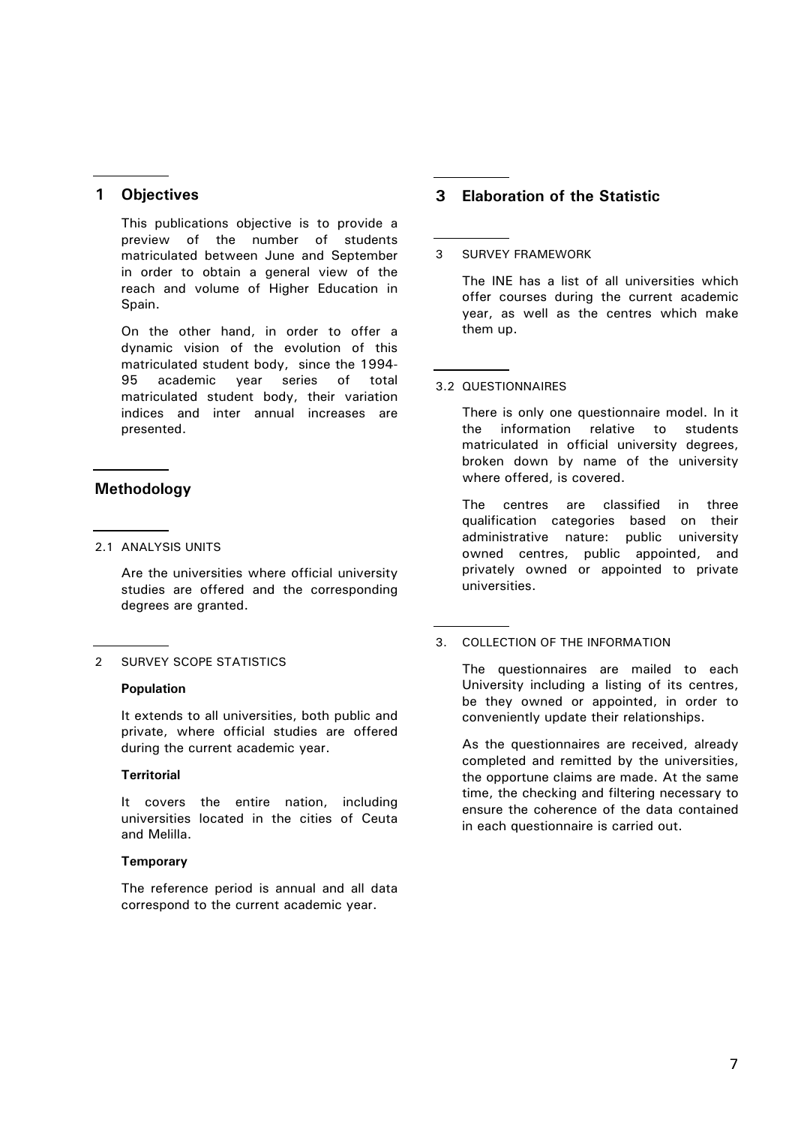# **1 Objectives**

This publications objective is to provide a preview of the number of students matriculated between June and September in order to obtain a general view of the reach and volume of Higher Education in Spain.

On the other hand, in order to offer a dynamic vision of the evolution of this matriculated student body, since the 1994- 95 academic year series of total matriculated student body, their variation indices and inter annual increases are presented.

## **Methodology**

2.1 ANALYSIS UNITS

Are the universities where official university studies are offered and the corresponding degrees are granted.

### 2 SURVEY SCOPE STATISTICS

#### **Population**

It extends to all universities, both public and private, where official studies are offered during the current academic year.

#### **Territorial**

It covers the entire nation, including universities located in the cities of Ceuta and Melilla.

### **Temporary**

The reference period is annual and all data correspond to the current academic year.

# **3 Elaboration of the Statistic**

### 3 SURVEY FRAMEWORK

The INE has a list of all universities which offer courses during the current academic year, as well as the centres which make them up.

### 3.2 QUESTIONNAIRES

There is only one questionnaire model. In it the information relative to students matriculated in official university degrees, broken down by name of the university where offered, is covered.

The centres are classified in three qualification categories based on their administrative nature: public university owned centres, public appointed, and privately owned or appointed to private universities.

### 3. COLLECTION OF THE INFORMATION

The questionnaires are mailed to each University including a listing of its centres, be they owned or appointed, in order to conveniently update their relationships.

As the questionnaires are received, already completed and remitted by the universities, the opportune claims are made. At the same time, the checking and filtering necessary to ensure the coherence of the data contained in each questionnaire is carried out.